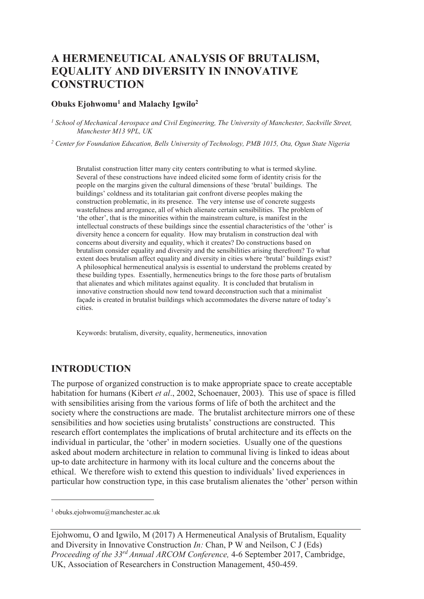# **A HERMENEUTICAL ANALYSIS OF BRUTALISM, EQUALITY AND DIVERSITY IN INNOVATIVE CONSTRUCTION**

#### **Obuks Ejohwomu<sup>1</sup> and Malachy Igwilo<sup>2</sup>**

*1 School of Mechanical Aerospace and Civil Engineering, The University of Manchester, Sackville Street, Manchester M13 9PL, UK* 

<sup>2</sup> Center for Foundation Education, Bells University of Technology, PMB 1015, Ota, Ogun State Nigeria

Brutalist construction litter many city centers contributing to what is termed skyline. Several of these constructions have indeed elicited some form of identity crisis for the people on the margins given the cultural dimensions of these 'brutal' buildings. The buildings' coldness and its totalitarian gait confront diverse peoples making the construction problematic, in its presence. The very intense use of concrete suggests wastefulness and arrogance, all of which alienate certain sensibilities. The problem of 'the other', that is the minorities within the mainstream culture, is manifest in the intellectual constructs of these buildings since the essential characteristics of the 'other' is diversity hence a concern for equality. How may brutalism in construction deal with concerns about diversity and equality, which it creates? Do constructions based on brutalism consider equality and diversity and the sensibilities arising therefrom? To what extent does brutalism affect equality and diversity in cities where 'brutal' buildings exist? A philosophical hermeneutical analysis is essential to understand the problems created by these building types. Essentially, hermeneutics brings to the fore those parts of brutalism that alienates and which militates against equality. It is concluded that brutalism in innovative construction should now tend toward deconstruction such that a minimalist façade is created in brutalist buildings which accommodates the diverse nature of today's cities.

Keywords: brutalism, diversity, equality, hermeneutics, innovation

### **INTRODUCTION**

The purpose of organized construction is to make appropriate space to create acceptable habitation for humans (Kibert *et al*., 2002, Schoenauer, 2003). This use of space is filled with sensibilities arising from the various forms of life of both the architect and the society where the constructions are made. The brutalist architecture mirrors one of these sensibilities and how societies using brutalists' constructions are constructed. This research effort contemplates the implications of brutal architecture and its effects on the individual in particular, the 'other' in modern societies. Usually one of the questions asked about modern architecture in relation to communal living is linked to ideas about up-to date architecture in harmony with its local culture and the concerns about the ethical. We therefore wish to extend this question to individuals' lived experiences in particular how construction type, in this case brutalism alienates the 'other' person within

-

<sup>1</sup> obuks.ejohwomu@manchester.ac.uk

Ejohwomu, O and Igwilo, M (2017) A Hermeneutical Analysis of Brutalism, Equality and Diversity in Innovative Construction *In:* Chan, P W and Neilson, C J (Eds) *Proceeding of the 33rd Annual ARCOM Conference,* 4-6 September 2017, Cambridge, UK, Association of Researchers in Construction Management, 450-459.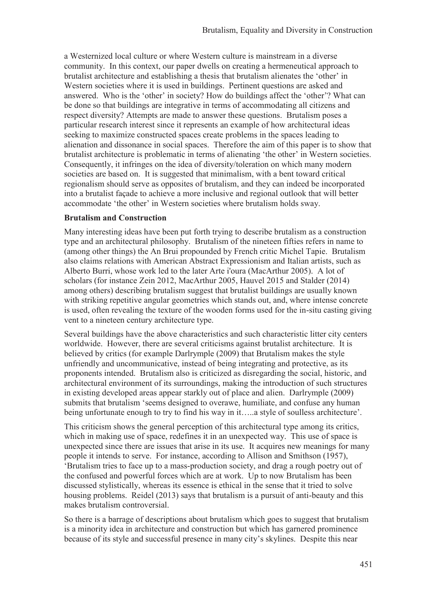a Westernized local culture or where Western culture is mainstream in a diverse community. In this context, our paper dwells on creating a hermeneutical approach to brutalist architecture and establishing a thesis that brutalism alienates the 'other' in Western societies where it is used in buildings. Pertinent questions are asked and answered. Who is the 'other' in society? How do buildings affect the 'other'? What can be done so that buildings are integrative in terms of accommodating all citizens and respect diversity? Attempts are made to answer these questions. Brutalism poses a particular research interest since it represents an example of how architectural ideas seeking to maximize constructed spaces create problems in the spaces leading to alienation and dissonance in social spaces. Therefore the aim of this paper is to show that brutalist architecture is problematic in terms of alienating 'the other' in Western societies. Consequently, it infringes on the idea of diversity/toleration on which many modern societies are based on. It is suggested that minimalism, with a bent toward critical regionalism should serve as opposites of brutalism, and they can indeed be incorporated into a brutalist façade to achieve a more inclusive and regional outlook that will better accommodate 'the other' in Western societies where brutalism holds sway.

#### **Brutalism and Construction**

Many interesting ideas have been put forth trying to describe brutalism as a construction type and an architectural philosophy. Brutalism of the nineteen fifties refers in name to (among other things) the An Brui propounded by French critic Michel Tapie. Brutalism also claims relations with American Abstract Expressionism and Italian artists, such as Alberto Burri, whose work led to the later Arte i'oura (MacArthur 2005). A lot of scholars (for instance Zein 2012, MacArthur 2005, Hauvel 2015 and Stalder (2014) among others) describing brutalism suggest that brutalist buildings are usually known with striking repetitive angular geometries which stands out, and, where intense concrete is used, often revealing the texture of the wooden forms used for the in-situ casting giving vent to a nineteen century architecture type.

Several buildings have the above characteristics and such characteristic litter city centers worldwide. However, there are several criticisms against brutalist architecture. It is believed by critics (for example Darlrymple (2009) that Brutalism makes the style unfriendly and uncommunicative, instead of being integrating and protective, as its proponents intended. Brutalism also is criticized as disregarding the social, historic, and architectural environment of its surroundings, making the introduction of such structures in existing developed areas appear starkly out of place and alien. Darlrymple (2009) submits that brutalism 'seems designed to overawe, humiliate, and confuse any human being unfortunate enough to try to find his way in it…..a style of soulless architecture'.

This criticism shows the general perception of this architectural type among its critics, which in making use of space, redefines it in an unexpected way. This use of space is unexpected since there are issues that arise in its use. It acquires new meanings for many people it intends to serve. For instance, according to Allison and Smithson (1957), 'Brutalism tries to face up to a mass-production society, and drag a rough poetry out of the confused and powerful forces which are at work. Up to now Brutalism has been discussed stylistically, whereas its essence is ethical in the sense that it tried to solve housing problems. Reidel (2013) says that brutalism is a pursuit of anti-beauty and this makes brutalism controversial.

So there is a barrage of descriptions about brutalism which goes to suggest that brutalism is a minority idea in architecture and construction but which has garnered prominence because of its style and successful presence in many city's skylines. Despite this near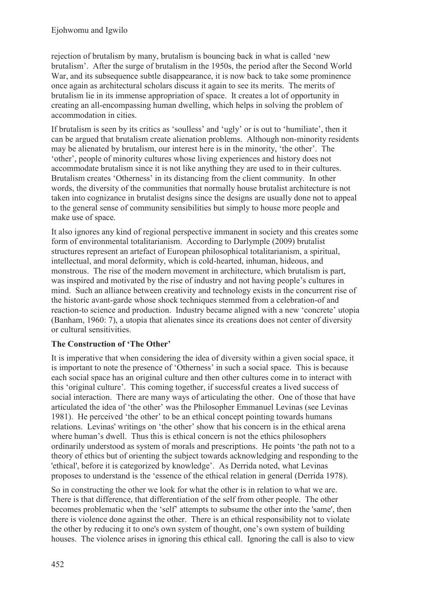rejection of brutalism by many, brutalism is bouncing back in what is called 'new brutalism'. After the surge of brutalism in the 1950s, the period after the Second World War, and its subsequence subtle disappearance, it is now back to take some prominence once again as architectural scholars discuss it again to see its merits. The merits of brutalism lie in its immense appropriation of space. It creates a lot of opportunity in creating an all-encompassing human dwelling, which helps in solving the problem of accommodation in cities.

If brutalism is seen by its critics as 'soulless' and 'ugly' or is out to 'humiliate', then it can be argued that brutalism create alienation problems. Although non-minority residents may be alienated by brutalism, our interest here is in the minority, 'the other'. The 'other', people of minority cultures whose living experiences and history does not accommodate brutalism since it is not like anything they are used to in their cultures. Brutalism creates 'Otherness' in its distancing from the client community. In other words, the diversity of the communities that normally house brutalist architecture is not taken into cognizance in brutalist designs since the designs are usually done not to appeal to the general sense of community sensibilities but simply to house more people and make use of space.

It also ignores any kind of regional perspective immanent in society and this creates some form of environmental totalitarianism. According to Darlymple (2009) brutalist structures represent an artefact of European philosophical totalitarianism, a spiritual, intellectual, and moral deformity, which is cold-hearted, inhuman, hideous, and monstrous. The rise of the modern movement in architecture, which brutalism is part, was inspired and motivated by the rise of industry and not having people's cultures in mind. Such an alliance between creativity and technology exists in the concurrent rise of the historic avant-garde whose shock techniques stemmed from a celebration-of and reaction-to science and production. Industry became aligned with a new 'concrete' utopia (Banham, 1960: 7), a utopia that alienates since its creations does not center of diversity or cultural sensitivities.

### **The Construction of 'The Other'**

It is imperative that when considering the idea of diversity within a given social space, it is important to note the presence of 'Otherness' in such a social space. This is because each social space has an original culture and then other cultures come in to interact with this 'original culture'. This coming together, if successful creates a lived success of social interaction. There are many ways of articulating the other. One of those that have articulated the idea of 'the other' was the Philosopher Emmanuel Levinas (see Levinas 1981). He perceived 'the other' to be an ethical concept pointing towards humans relations. Levinas' writings on 'the other' show that his concern is in the ethical arena where human's dwell. Thus this is ethical concern is not the ethics philosophers ordinarily understood as system of morals and prescriptions. He points 'the path not to a theory of ethics but of orienting the subject towards acknowledging and responding to the 'ethical', before it is categorized by knowledge'. As Derrida noted, what Levinas proposes to understand is the 'essence of the ethical relation in general (Derrida 1978).

So in constructing the other we look for what the other is in relation to what we are. There is that difference, that differentiation of the self from other people. The other becomes problematic when the 'self' attempts to subsume the other into the 'same', then there is violence done against the other. There is an ethical responsibility not to violate the other by reducing it to one's own system of thought, one's own system of building houses. The violence arises in ignoring this ethical call. Ignoring the call is also to view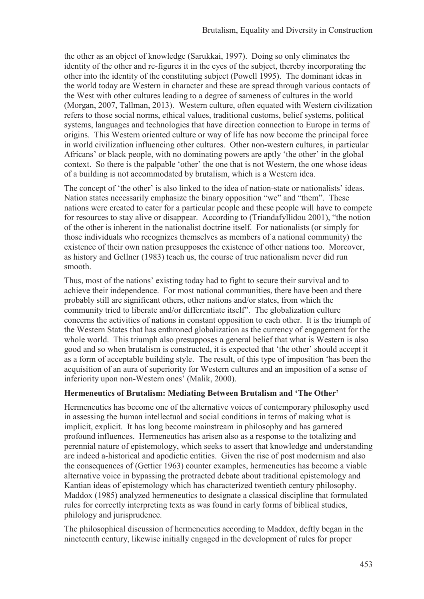the other as an object of knowledge (Sarukkai, 1997). Doing so only eliminates the identity of the other and re-figures it in the eyes of the subject, thereby incorporating the other into the identity of the constituting subject (Powell 1995). The dominant ideas in the world today are Western in character and these are spread through various contacts of the West with other cultures leading to a degree of sameness of cultures in the world (Morgan, 2007, Tallman, 2013). Western culture, often equated with Western civilization refers to those social norms, ethical values, traditional customs, belief systems, political systems, languages and technologies that have direction connection to Europe in terms of origins. This Western oriented culture or way of life has now become the principal force in world civilization influencing other cultures. Other non-western cultures, in particular Africans' or black people, with no dominating powers are aptly 'the other' in the global context. So there is the palpable 'other' the one that is not Western, the one whose ideas of a building is not accommodated by brutalism, which is a Western idea.

The concept of 'the other' is also linked to the idea of nation-state or nationalists' ideas. Nation states necessarily emphasize the binary opposition "we" and "them". These nations were created to cater for a particular people and these people will have to compete for resources to stay alive or disappear. According to (Triandafyllidou 2001), "the notion of the other is inherent in the nationalist doctrine itself. For nationalists (or simply for those individuals who recognizes themselves as members of a national community) the existence of their own nation presupposes the existence of other nations too. Moreover, as history and Gellner (1983) teach us, the course of true nationalism never did run smooth.

Thus, most of the nations' existing today had to fight to secure their survival and to achieve their independence. For most national communities, there have been and there probably still are significant others, other nations and/or states, from which the community tried to liberate and/or differentiate itself". The globalization culture concerns the activities of nations in constant opposition to each other. It is the triumph of the Western States that has enthroned globalization as the currency of engagement for the whole world. This triumph also presupposes a general belief that what is Western is also good and so when brutalism is constructed, it is expected that 'the other' should accept it as a form of acceptable building style. The result, of this type of imposition 'has been the acquisition of an aura of superiority for Western cultures and an imposition of a sense of inferiority upon non-Western ones' (Malik, 2000).

#### **Hermeneutics of Brutalism: Mediating Between Brutalism and 'The Other'**

Hermeneutics has become one of the alternative voices of contemporary philosophy used in assessing the human intellectual and social conditions in terms of making what is implicit, explicit. It has long become mainstream in philosophy and has garnered profound influences. Hermeneutics has arisen also as a response to the totalizing and perennial nature of epistemology, which seeks to assert that knowledge and understanding are indeed a-historical and apodictic entities. Given the rise of post modernism and also the consequences of (Gettier 1963) counter examples, hermeneutics has become a viable alternative voice in bypassing the protracted debate about traditional epistemology and Kantian ideas of epistemology which has characterized twentieth century philosophy. Maddox (1985) analyzed hermeneutics to designate a classical discipline that formulated rules for correctly interpreting texts as was found in early forms of biblical studies, philology and jurisprudence.

The philosophical discussion of hermeneutics according to Maddox, deftly began in the nineteenth century, likewise initially engaged in the development of rules for proper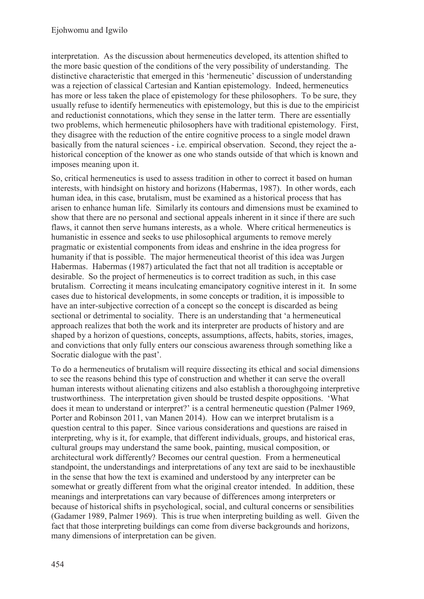interpretation. As the discussion about hermeneutics developed, its attention shifted to the more basic question of the conditions of the very possibility of understanding. The distinctive characteristic that emerged in this 'hermeneutic' discussion of understanding was a rejection of classical Cartesian and Kantian epistemology. Indeed, hermeneutics has more or less taken the place of epistemology for these philosophers. To be sure, they usually refuse to identify hermeneutics with epistemology, but this is due to the empiricist and reductionist connotations, which they sense in the latter term. There are essentially two problems, which hermeneutic philosophers have with traditional epistemology. First, they disagree with the reduction of the entire cognitive process to a single model drawn basically from the natural sciences - i.e. empirical observation. Second, they reject the ahistorical conception of the knower as one who stands outside of that which is known and imposes meaning upon it.

So, critical hermeneutics is used to assess tradition in other to correct it based on human interests, with hindsight on history and horizons (Habermas, 1987). In other words, each human idea, in this case, brutalism, must be examined as a historical process that has arisen to enhance human life. Similarly its contours and dimensions must be examined to show that there are no personal and sectional appeals inherent in it since if there are such flaws, it cannot then serve humans interests, as a whole. Where critical hermeneutics is humanistic in essence and seeks to use philosophical arguments to remove merely pragmatic or existential components from ideas and enshrine in the idea progress for humanity if that is possible. The major hermeneutical theorist of this idea was Jurgen Habermas. Habermas (1987) articulated the fact that not all tradition is acceptable or desirable. So the project of hermeneutics is to correct tradition as such, in this case brutalism. Correcting it means inculcating emancipatory cognitive interest in it. In some cases due to historical developments, in some concepts or tradition, it is impossible to have an inter-subjective correction of a concept so the concept is discarded as being sectional or detrimental to sociality. There is an understanding that 'a hermeneutical approach realizes that both the work and its interpreter are products of history and are shaped by a horizon of questions, concepts, assumptions, affects, habits, stories, images, and convictions that only fully enters our conscious awareness through something like a Socratic dialogue with the past'.

To do a hermeneutics of brutalism will require dissecting its ethical and social dimensions to see the reasons behind this type of construction and whether it can serve the overall human interests without alienating citizens and also establish a thoroughgoing interpretive trustworthiness. The interpretation given should be trusted despite oppositions. 'What does it mean to understand or interpret?' is a central hermeneutic question (Palmer 1969, Porter and Robinson 2011, van Manen 2014). How can we interpret brutalism is a question central to this paper. Since various considerations and questions are raised in interpreting, why is it, for example, that different individuals, groups, and historical eras, cultural groups may understand the same book, painting, musical composition, or architectural work differently? Becomes our central question. From a hermeneutical standpoint, the understandings and interpretations of any text are said to be inexhaustible in the sense that how the text is examined and understood by any interpreter can be somewhat or greatly different from what the original creator intended. In addition, these meanings and interpretations can vary because of differences among interpreters or because of historical shifts in psychological, social, and cultural concerns or sensibilities (Gadamer 1989, Palmer 1969). This is true when interpreting building as well. Given the fact that those interpreting buildings can come from diverse backgrounds and horizons, many dimensions of interpretation can be given.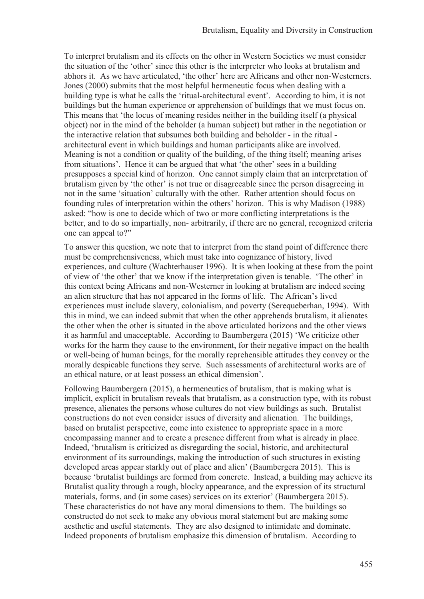To interpret brutalism and its effects on the other in Western Societies we must consider the situation of the 'other' since this other is the interpreter who looks at brutalism and abhors it. As we have articulated, 'the other' here are Africans and other non-Westerners. Jones (2000) submits that the most helpful hermeneutic focus when dealing with a building type is what he calls the 'ritual-architectural event'. According to him, it is not buildings but the human experience or apprehension of buildings that we must focus on. This means that 'the locus of meaning resides neither in the building itself (a physical object) nor in the mind of the beholder (a human subject) but rather in the negotiation or the interactive relation that subsumes both building and beholder - in the ritual architectural event in which buildings and human participants alike are involved. Meaning is not a condition or quality of the building, of the thing itself; meaning arises from situations'. Hence it can be argued that what 'the other' sees in a building presupposes a special kind of horizon. One cannot simply claim that an interpretation of brutalism given by 'the other' is not true or disagreeable since the person disagreeing in not in the same 'situation' culturally with the other. Rather attention should focus on founding rules of interpretation within the others' horizon. This is why Madison (1988) asked: "how is one to decide which of two or more conflicting interpretations is the better, and to do so impartially, non- arbitrarily, if there are no general, recognized criteria one can appeal to?"

To answer this question, we note that to interpret from the stand point of difference there must be comprehensiveness, which must take into cognizance of history, lived experiences, and culture (Wachterhauser 1996). It is when looking at these from the point of view of 'the other' that we know if the interpretation given is tenable. 'The other' in this context being Africans and non-Westerner in looking at brutalism are indeed seeing an alien structure that has not appeared in the forms of life. The African's lived experiences must include slavery, colonialism, and poverty (Serequeberhan, 1994). With this in mind, we can indeed submit that when the other apprehends brutalism, it alienates the other when the other is situated in the above articulated horizons and the other views it as harmful and unacceptable. According to Baumbergera (2015) 'We criticize other works for the harm they cause to the environment, for their negative impact on the health or well-being of human beings, for the morally reprehensible attitudes they convey or the morally despicable functions they serve. Such assessments of architectural works are of an ethical nature, or at least possess an ethical dimension'.

Following Baumbergera (2015), a hermeneutics of brutalism, that is making what is implicit, explicit in brutalism reveals that brutalism, as a construction type, with its robust presence, alienates the persons whose cultures do not view buildings as such. Brutalist constructions do not even consider issues of diversity and alienation. The buildings, based on brutalist perspective, come into existence to appropriate space in a more encompassing manner and to create a presence different from what is already in place. Indeed, 'brutalism is criticized as disregarding the social, historic, and architectural environment of its surroundings, making the introduction of such structures in existing developed areas appear starkly out of place and alien' (Baumbergera 2015). This is because 'brutalist buildings are formed from concrete. Instead, a building may achieve its Brutalist quality through a rough, blocky appearance, and the expression of its structural materials, forms, and (in some cases) services on its exterior' (Baumbergera 2015). These characteristics do not have any moral dimensions to them. The buildings so constructed do not seek to make any obvious moral statement but are making some aesthetic and useful statements. They are also designed to intimidate and dominate. Indeed proponents of brutalism emphasize this dimension of brutalism. According to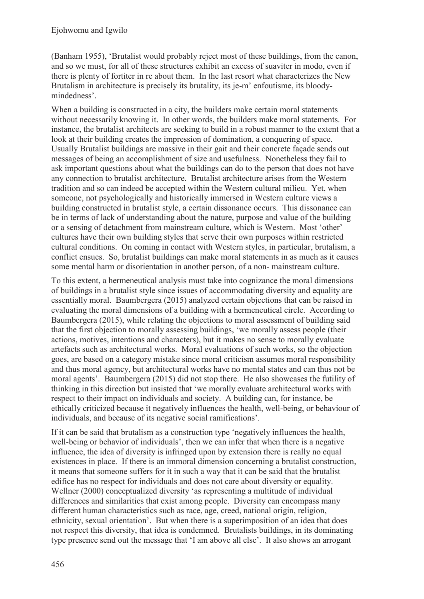(Banham 1955), 'Brutalist would probably reject most of these buildings, from the canon, and so we must, for all of these structures exhibit an excess of suaviter in modo, even if there is plenty of fortiter in re about them. In the last resort what characterizes the New Brutalism in architecture is precisely its brutality, its je-m' enfoutisme, its bloodymindedness'.

When a building is constructed in a city, the builders make certain moral statements without necessarily knowing it. In other words, the builders make moral statements. For instance, the brutalist architects are seeking to build in a robust manner to the extent that a look at their building creates the impression of domination, a conquering of space. Usually Brutalist buildings are massive in their gait and their concrete façade sends out messages of being an accomplishment of size and usefulness. Nonetheless they fail to ask important questions about what the buildings can do to the person that does not have any connection to brutalist architecture. Brutalist architecture arises from the Western tradition and so can indeed be accepted within the Western cultural milieu. Yet, when someone, not psychologically and historically immersed in Western culture views a building constructed in brutalist style, a certain dissonance occurs. This dissonance can be in terms of lack of understanding about the nature, purpose and value of the building or a sensing of detachment from mainstream culture, which is Western. Most 'other' cultures have their own building styles that serve their own purposes within restricted cultural conditions. On coming in contact with Western styles, in particular, brutalism, a conflict ensues. So, brutalist buildings can make moral statements in as much as it causes some mental harm or disorientation in another person, of a non- mainstream culture.

To this extent, a hermeneutical analysis must take into cognizance the moral dimensions of buildings in a brutalist style since issues of accommodating diversity and equality are essentially moral. Baumbergera (2015) analyzed certain objections that can be raised in evaluating the moral dimensions of a building with a hermeneutical circle. According to Baumbergera (2015), while relating the objections to moral assessment of building said that the first objection to morally assessing buildings, 'we morally assess people (their actions, motives, intentions and characters), but it makes no sense to morally evaluate artefacts such as architectural works. Moral evaluations of such works, so the objection goes, are based on a category mistake since moral criticism assumes moral responsibility and thus moral agency, but architectural works have no mental states and can thus not be moral agents'. Baumbergera (2015) did not stop there. He also showcases the futility of thinking in this direction but insisted that 'we morally evaluate architectural works with respect to their impact on individuals and society. A building can, for instance, be ethically criticized because it negatively influences the health, well-being, or behaviour of individuals, and because of its negative social ramifications'.

If it can be said that brutalism as a construction type 'negatively influences the health, well-being or behavior of individuals', then we can infer that when there is a negative influence, the idea of diversity is infringed upon by extension there is really no equal existences in place. If there is an immoral dimension concerning a brutalist construction, it means that someone suffers for it in such a way that it can be said that the brutalist edifice has no respect for individuals and does not care about diversity or equality. Wellner (2000) conceptualized diversity 'as representing a multitude of individual differences and similarities that exist among people. Diversity can encompass many different human characteristics such as race, age, creed, national origin, religion, ethnicity, sexual orientation'. But when there is a superimposition of an idea that does not respect this diversity, that idea is condemned. Brutalists buildings, in its dominating type presence send out the message that 'I am above all else'. It also shows an arrogant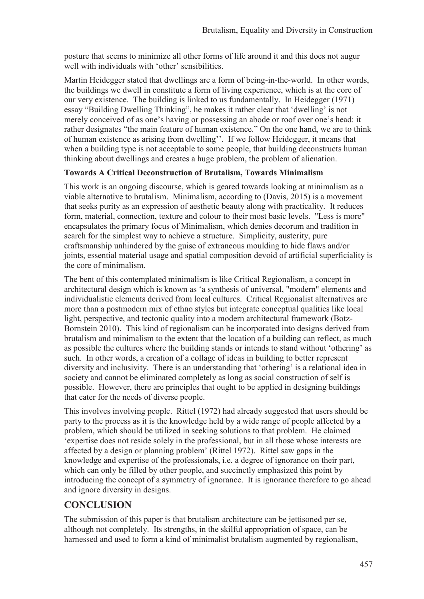posture that seems to minimize all other forms of life around it and this does not augur well with individuals with 'other' sensibilities.

Martin Heidegger stated that dwellings are a form of being-in-the-world. In other words, the buildings we dwell in constitute a form of living experience, which is at the core of our very existence. The building is linked to us fundamentally. In Heidegger (1971) essay "Building Dwelling Thinking", he makes it rather clear that 'dwelling' is not merely conceived of as one's having or possessing an abode or roof over one's head: it rather designates "the main feature of human existence." On the one hand, we are to think of human existence as arising from dwelling''. If we follow Heidegger, it means that when a building type is not acceptable to some people, that building deconstructs human thinking about dwellings and creates a huge problem, the problem of alienation.

### **Towards A Critical Deconstruction of Brutalism, Towards Minimalism**

This work is an ongoing discourse, which is geared towards looking at minimalism as a viable alternative to brutalism. Minimalism, according to (Davis, 2015) is a movement that seeks purity as an expression of aesthetic beauty along with practicality. It reduces form, material, connection, texture and colour to their most basic levels. "Less is more" encapsulates the primary focus of Minimalism, which denies decorum and tradition in search for the simplest way to achieve a structure. Simplicity, austerity, pure craftsmanship unhindered by the guise of extraneous moulding to hide flaws and/or joints, essential material usage and spatial composition devoid of artificial superficiality is the core of minimalism.

The bent of this contemplated minimalism is like Critical Regionalism, a concept in architectural design which is known as 'a synthesis of universal, "modern" elements and individualistic elements derived from local cultures. Critical Regionalist alternatives are more than a postmodern mix of ethno styles but integrate conceptual qualities like local light, perspective, and tectonic quality into a modern architectural framework (Botz-Bornstein 2010). This kind of regionalism can be incorporated into designs derived from brutalism and minimalism to the extent that the location of a building can reflect, as much as possible the cultures where the building stands or intends to stand without 'othering' as such. In other words, a creation of a collage of ideas in building to better represent diversity and inclusivity. There is an understanding that 'othering' is a relational idea in society and cannot be eliminated completely as long as social construction of self is possible. However, there are principles that ought to be applied in designing buildings that cater for the needs of diverse people.

This involves involving people. Rittel (1972) had already suggested that users should be party to the process as it is the knowledge held by a wide range of people affected by a problem, which should be utilized in seeking solutions to that problem. He claimed 'expertise does not reside solely in the professional, but in all those whose interests are affected by a design or planning problem' (Rittel 1972). Rittel saw gaps in the knowledge and expertise of the professionals, i.e. a degree of ignorance on their part, which can only be filled by other people, and succinctly emphasized this point by introducing the concept of a symmetry of ignorance. It is ignorance therefore to go ahead and ignore diversity in designs.

### **CONCLUSION**

The submission of this paper is that brutalism architecture can be jettisoned per se, although not completely. Its strengths, in the skilful appropriation of space, can be harnessed and used to form a kind of minimalist brutalism augmented by regionalism,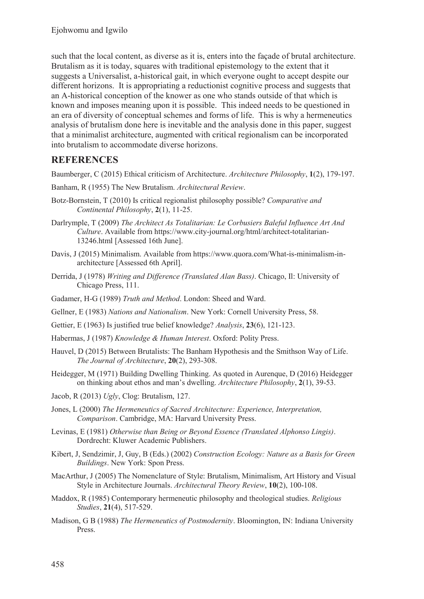such that the local content, as diverse as it is, enters into the façade of brutal architecture. Brutalism as it is today, squares with traditional epistemology to the extent that it suggests a Universalist, a-historical gait, in which everyone ought to accept despite our different horizons. It is appropriating a reductionist cognitive process and suggests that an A-historical conception of the knower as one who stands outside of that which is known and imposes meaning upon it is possible. This indeed needs to be questioned in an era of diversity of conceptual schemes and forms of life. This is why a hermeneutics analysis of brutalism done here is inevitable and the analysis done in this paper, suggest that a minimalist architecture, augmented with critical regionalism can be incorporated into brutalism to accommodate diverse horizons.

## **REFERENCES**

Baumberger, C (2015) Ethical criticism of Architecture. *Architecture Philosophy*, **1**(2), 179-197.

- Banham, R (1955) The New Brutalism. *Architectural Review*.
- Botz-Bornstein, T (2010) Is critical regionalist philosophy possible? *Comparative and Continental Philosophy*, **2**(1), 11-25.
- Darlrymple, T (2009) *The Architect As Totalitarian: Le Corbusiers Baleful Influence Art And Culture*. Available from https://www.city-journal.org/html/architect-totalitarian-13246.html [Assessed 16th June].
- Davis, J (2015) Minimalism. Available from https://www.quora.com/What-is-minimalism-inarchitecture [Assessed 6th April].
- Derrida, J (1978) *Writing and Difference (Translated Alan Bass)*. Chicago, Il: University of Chicago Press, 111.
- Gadamer, H-G (1989) *Truth and Method*. London: Sheed and Ward.
- Gellner, E (1983) *Nations and Nationalism*. New York: Cornell University Press, 58.
- Gettier, E (1963) Is justified true belief knowledge? *Analysis*, **23**(6), 121-123.
- Habermas, J (1987) *Knowledge & Human Interest*. Oxford: Polity Press.
- Hauvel, D (2015) Between Brutalists: The Banham Hypothesis and the Smithson Way of Life. *The Journal of Architecture*, **20**(2), 293-308.
- Heidegger, M (1971) Building Dwelling Thinking. As quoted in Aurenque, D (2016) Heidegger on thinking about ethos and man's dwelling. *Architecture Philosophy*, **2**(1), 39-53.
- Jacob, R (2013) *Ugly*, Clog: Brutalism, 127.
- Jones, L (2000) *The Hermeneutics of Sacred Architecture: Experience, Interpretation, Comparison*. Cambridge, MA: Harvard University Press.
- Levinas, E (1981) *Otherwise than Being or Beyond Essence (Translated Alphonso Lingis)*. Dordrecht: Kluwer Academic Publishers.
- Kibert, J, Sendzimir, J, Guy, B (Eds.) (2002) *Construction Ecology: Nature as a Basis for Green Buildings*. New York: Spon Press.
- MacArthur, J (2005) The Nomenclature of Style: Brutalism, Minimalism, Art History and Visual Style in Architecture Journals. *Architectural Theory Review*, **10**(2), 100-108.
- Maddox, R (1985) Contemporary hermeneutic philosophy and theological studies. *Religious Studies*, **21**(4), 517-529.
- Madison, G B (1988) *The Hermeneutics of Postmodernity*. Bloomington, IN: Indiana University Press.